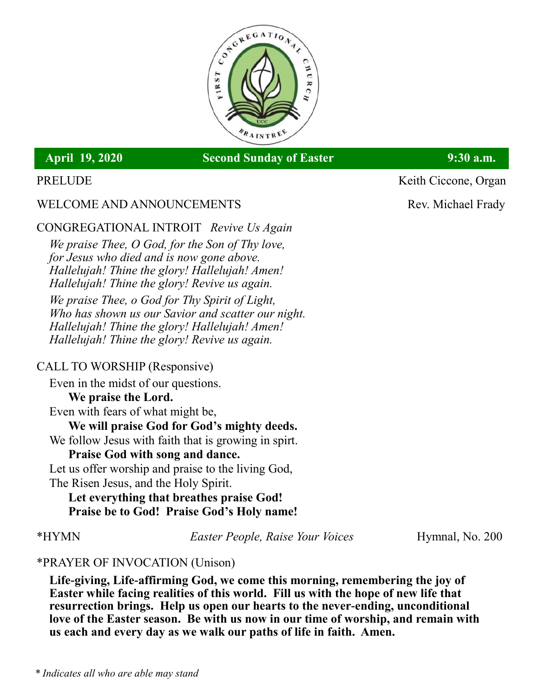

# April 19, 2020 Second Sunday of Easter 9:30 a.m.

# WELCOME AND ANNOUNCEMENTS Rev. Michael Frady

# CONGREGATIONAL INTROIT *Revive Us Again*

*We praise Thee, O God, for the Son of Thy love, for Jesus who died and is now gone above. Hallelujah! Thine the glory! Hallelujah! Amen! Hallelujah! Thine the glory! Revive us again.*

*We praise Thee, o God for Thy Spirit of Light, Who has shown us our Savior and scatter our night. Hallelujah! Thine the glory! Hallelujah! Amen! Hallelujah! Thine the glory! Revive us again.*

## CALL TO WORSHIP (Responsive)

Even in the midst of our questions. **We praise the Lord.** Even with fears of what might be, **We will praise God for God's mighty deeds.** We follow Jesus with faith that is growing in spirt. **Praise God with song and dance.**

Let us offer worship and praise to the living God,

The Risen Jesus, and the Holy Spirit.

**Let everything that breathes praise God! Praise be to God! Praise God's Holy name!**

\*HYMN *Easter People, Raise Your Voices* Hymnal, No. 200

## \*PRAYER OF INVOCATION (Unison)

**Life-giving, Life-affirming God, we come this morning, remembering the joy of Easter while facing realities of this world. Fill us with the hope of new life that resurrection brings. Help us open our hearts to the never-ending, unconditional love of the Easter season. Be with us now in our time of worship, and remain with us each and every day as we walk our paths of life in faith. Amen.**

PRELUDE Keith Ciccone, Organ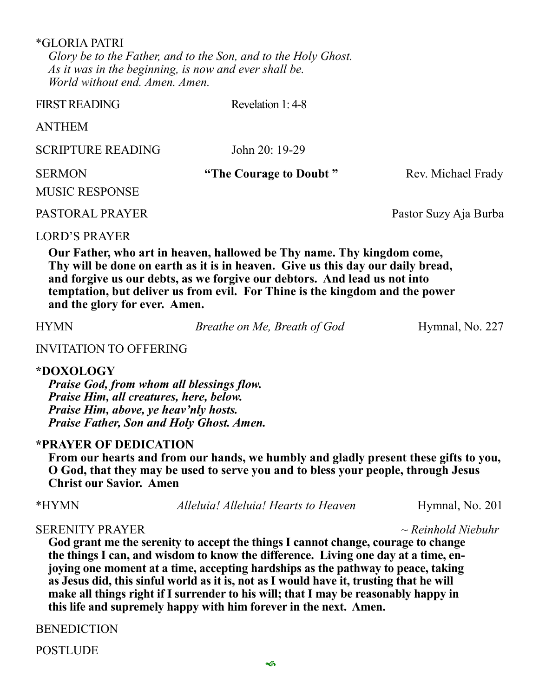\*GLORIA PATRI *Glory be to the Father, and to the Son, and to the Holy Ghost. As it was in the beginning, is now and ever shall be. World without end. Amen. Amen.*

| <b>FIRST READING</b>                   | Revelation 1:4-8       |                       |
|----------------------------------------|------------------------|-----------------------|
| <b>ANTHEM</b>                          |                        |                       |
| <b>SCRIPTURE READING</b>               | John 20: 19-29         |                       |
| <b>SERMON</b><br><b>MUSIC RESPONSE</b> | "The Courage to Doubt" | Rev. Michael Frady    |
| PASTORAL PRAYER                        |                        | Pastor Suzy Aja Burba |
| LORD'S PRAYER                          |                        |                       |

LORD'S PRAYER

**Our Father, who art in heaven, hallowed be Thy name. Thy kingdom come, Thy will be done on earth as it is in heaven. Give us this day our daily bread, and forgive us our debts, as we forgive our debtors. And lead us not into temptation, but deliver us from evil. For Thine is the kingdom and the power and the glory for ever. Amen.**

HYMN *Breathe on Me, Breath of God* Hymnal, No. 227

### INVITATION TO OFFERING

### **\*DOXOLOGY**

*Praise God, from whom all blessings flow. Praise Him, all creatures, here, below. Praise Him, above, ye heav'nly hosts. Praise Father, Son and Holy Ghost. Amen.*

### **\*PRAYER OF DEDICATION**

**From our hearts and from our hands, we humbly and gladly present these gifts to you, O God, that they may be used to serve you and to bless your people, through Jesus Christ our Savior. Amen**

\*HYMN *Alleluia! Alleluia! Hearts to Heaven* Hymnal, No. 201

### SERENITY PRAYER *~ Reinhold Niebuhr*

**God grant me the serenity to accept the things I cannot change, courage to change the things I can, and wisdom to know the difference. Living one day at a time, enjoying one moment at a time, accepting hardships as the pathway to peace, taking as Jesus did, this sinful world as it is, not as I would have it, trusting that he will make all things right if I surrender to his will; that I may be reasonably happy in this life and supremely happy with him forever in the next. Amen.**

BENEDICTION

POSTLUDE